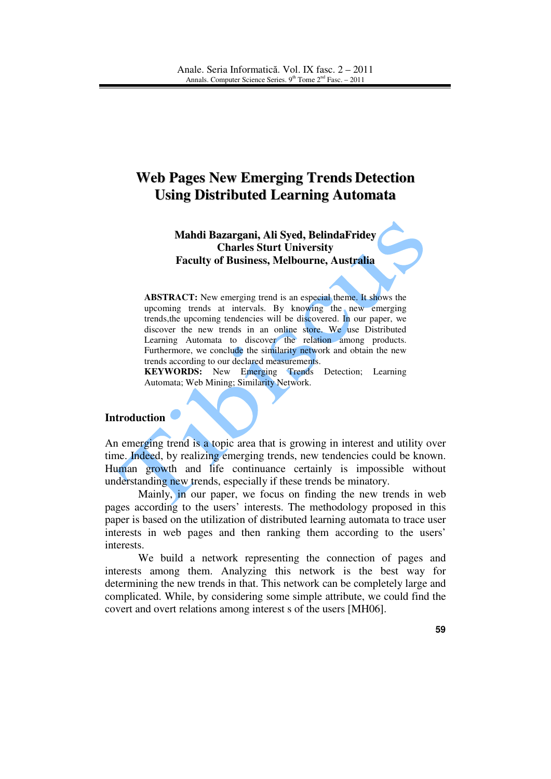# **Web Pages New Emerging Trends Detection Using Distributed Learning Automata**

**Mahdi Bazargani, Ali Syed, BelindaFridey Charles Sturt University Faculty of Business, Melbourne, Australia** 

**ABSTRACT:** New emerging trend is an especial theme. It shows the upcoming trends at intervals. By knowing the new emerging trends,the upcoming tendencies will be discovered. In our paper, we discover the new trends in an online store. We use Distributed Learning Automata to discover the relation among products. Furthermore, we conclude the similarity network and obtain the new trends according to our declared measurements.

**KEYWORDS:** New Emerging Trends Detection: Learning Automata; Web Mining; Similarity Network.

#### **Introduction**

An emerging trend is a topic area that is growing in interest and utility over time. Indeed, by realizing emerging trends, new tendencies could be known. Human growth and life continuance certainly is impossible without understanding new trends, especially if these trends be minatory.

Mainly, in our paper, we focus on finding the new trends in web pages according to the users' interests. The methodology proposed in this paper is based on the utilization of distributed learning automata to trace user interests in web pages and then ranking them according to the users' interests.

We build a network representing the connection of pages and interests among them. Analyzing this network is the best way for determining the new trends in that. This network can be completely large and complicated. While, by considering some simple attribute, we could find the covert and overt relations among interest s of the users [MH06].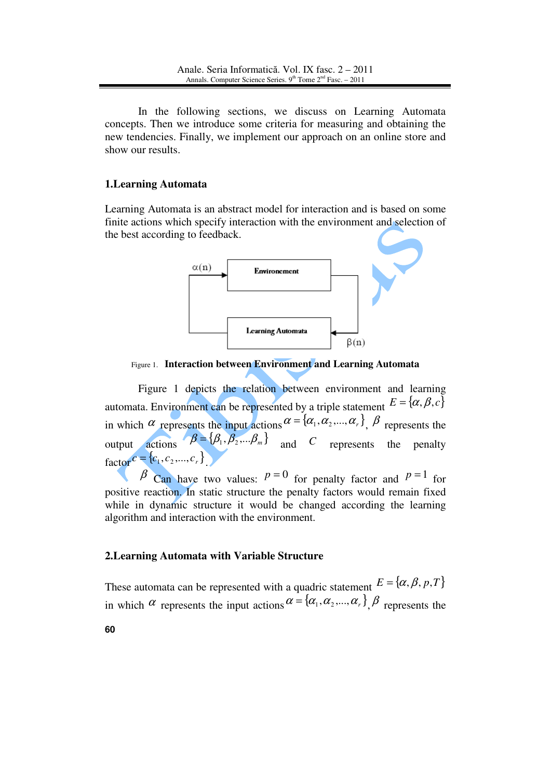In the following sections, we discuss on Learning Automata concepts. Then we introduce some criteria for measuring and obtaining the new tendencies. Finally, we implement our approach on an online store and show our results.

#### **1.Learning Automata**

Learning Automata is an abstract model for interaction and is based on some finite actions which specify interaction with the environment and selection of the best according to feedback.



Figure 1. **Interaction between Environment and Learning Automata** 

Figure 1 depicts the relation between environment and learning automata. Environment can be represented by a triple statement  $E = \{\alpha, \beta, c\}$ in which  $\alpha$  represents the input actions  $\alpha = {\alpha_1, \alpha_2, ..., \alpha_r}$ ,  $\beta$  represents the output actions  $\beta = {\beta_1, \beta_2,...\beta_m}$  and *C* represents the penalty  $factor^{c} = {c_1, c_2, ..., c_r}$ .

 $\beta$  Can have two values:  $p=0$  for penalty factor and  $p=1$  for positive reaction. In static structure the penalty factors would remain fixed while in dynamic structure it would be changed according the learning algorithm and interaction with the environment.

#### **2.Learning Automata with Variable Structure**

**60** These automata can be represented with a quadric statement  $E = \{\alpha, \beta, p, T\}$ in which  $\alpha$  represents the input actions  $\alpha = {\alpha_1, \alpha_2, ..., \alpha_r}$ ,  $\beta$  represents the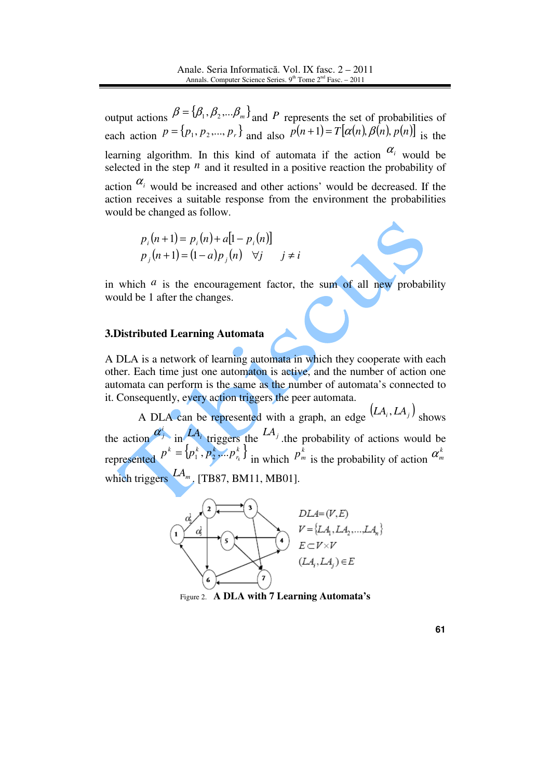output actions  $\beta = {\beta_1, \beta_2,...\beta_m}$  and *P* represents the set of probabilities of each action  $P = \{p_1, p_2, ..., p_r\}$  and also  $P(n+1) = T[\alpha(n), \beta(n), p(n)]$  is the learning algorithm. In this kind of automata if the action  $\alpha_i$  would be selected in the step  $^n$  and it resulted in a positive reaction the probability of action  $\alpha_i$  would be increased and other actions' would be decreased. If the action receives a suitable response from the environment the probabilities would be changed as follow.

> $p \cdot (n+1) = p \cdot (n) + a[1-p \cdot (n)]$ *p*<sub>j</sub> $(n+1) = (1-a)p$ <sub>j</sub> $(n)$  ∀j j≠ *i*

in which  $a$  is the encouragement factor, the sum of all new probability would be 1 after the changes.

## **3.Distributed Learning Automata**

A DLA is a network of learning automata in which they cooperate with each other. Each time just one automaton is active, and the number of action one automata can perform is the same as the number of automata's connected to it. Consequently, every action triggers the peer automata.

A DLA can be represented with a graph, an edge  $(LA_i, LA_j)$  shows the action  $\alpha_j^i$  in  $L_A^i$  triggers the  $L_A^j$ , the probability of actions would be represented  $p^k = \{p_1^k, p_2^k, ... p_{r_k}^k\}$ *r k k k*  $p^k = \{p_1^k, p_2^k, ... p_{r_k}^k\}$  in which  $p_n^k$  $p_{m}^{k}$  is the probability of action  $\alpha_{m}^{k}$ which triggers  $A_{m}$ . [TB87, BM11, MB01].



Figure 2. **A DLA with 7 Learning Automata's**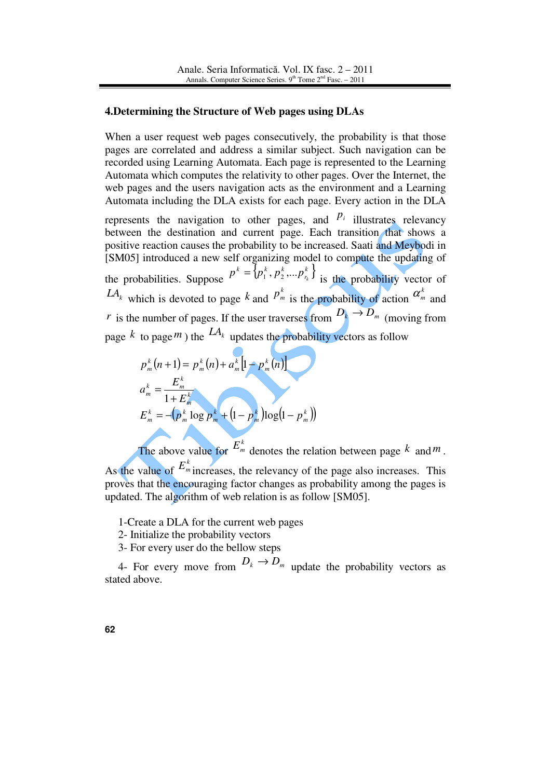#### **4.Determining the Structure of Web pages using DLAs**

When a user request web pages consecutively, the probability is that those pages are correlated and address a similar subject. Such navigation can be recorded using Learning Automata. Each page is represented to the Learning Automata which computes the relativity to other pages. Over the Internet, the web pages and the users navigation acts as the environment and a Learning Automata including the DLA exists for each page. Every action in the DLA

represents the navigation to other pages, and  $P_i$  illustrates relevancy between the destination and current page. Each transition that shows a positive reaction causes the probability to be increased. Saati and Meybodi in [SM05] introduced a new self organizing model to compute the updating of the probabilities. Suppose  $P^k = \{p_1^k, p_2^k, \dots, p_{r_k}^k\}$ *r*  $k = \frac{1}{k}$   $\frac{k}{k}$  $p^k = \{p_1^k, p_2^k, \dots p_{r_k}^k\}$  is the probability vector of  $LA_k$  which is devoted to page  $k$  and  $P_n^k$  $p_m^k$  is the probability of action  $\alpha_m^k$  and *r* is the number of pages. If the user traverses from  $D_k \rightarrow D_m$  (moving from page  $k$  to page  $m$ ) the  $LA_k$  updates the probability vectors as follow

$$
p_m^k(n+1) = p_m^k(n) + a_m^k \left[ 1 - p_m^k(n) \right]
$$
  
\n
$$
a_m^k = \frac{E_m^k}{1 + E_m^k}
$$
  
\n
$$
E_m^k = -(p_m^k \log p_m^k + (1 - p_m^k) \log (1 - p_m^k))
$$

The above value for  $E_m^k$  denotes the relation between page  $k$  and  $m$ .

As the value of  $E_m^k$  increases, the relevancy of the page also increases. This proves that the encouraging factor changes as probability among the pages is updated. The algorithm of web relation is as follow [SM05].

1-Create a DLA for the current web pages

2- Initialize the probability vectors

3- For every user do the bellow steps

4- For every move from  $D_k \to D_m$  update the probability vectors as stated above.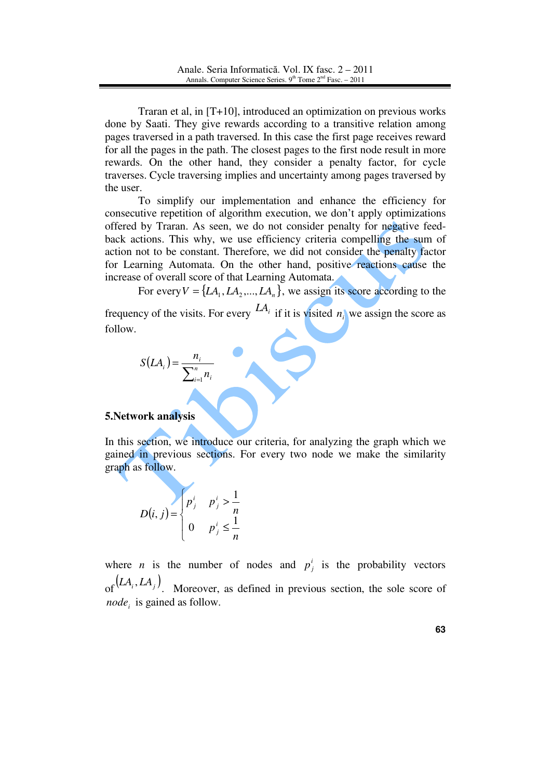Traran et al, in [T+10], introduced an optimization on previous works done by Saati. They give rewards according to a transitive relation among pages traversed in a path traversed. In this case the first page receives reward for all the pages in the path. The closest pages to the first node result in more rewards. On the other hand, they consider a penalty factor, for cycle traverses. Cycle traversing implies and uncertainty among pages traversed by the user.

To simplify our implementation and enhance the efficiency for consecutive repetition of algorithm execution, we don't apply optimizations offered by Traran. As seen, we do not consider penalty for negative feedback actions. This why, we use efficiency criteria compelling the sum of action not to be constant. Therefore, we did not consider the penalty factor for Learning Automata. On the other hand, positive reactions cause the increase of overall score of that Learning Automata.

For every  $V = \{LA_1, LA_2, ..., LA_n\}$ , we assign its score according to the

frequency of the visits. For every  $LA_i$  if it is visited  $n_i$  we assign the score as follow.

$$
S(LA_i) = \frac{n_i}{\sum_{i=1}^n n_i}
$$

## **5.Network analysis**

In this section, we introduce our criteria, for analyzing the graph which we gained in previous sections. For every two node we make the similarity graph as follow.

$$
D(i, j) = \begin{cases} p_j^i & p_j^i > \frac{1}{n} \\ 0 & p_j^i \leq \frac{1}{n} \end{cases}
$$

where *n* is the number of nodes and  $p_j^i$  is the probability vectors of  $(LA_i, LA_j)$ . Moreover, as defined in previous section, the sole score of

*node<sup>i</sup>* is gained as follow.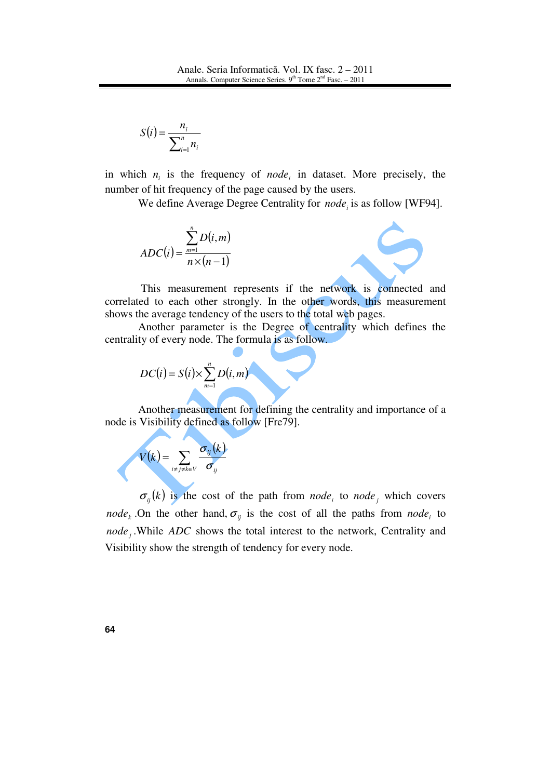$$
S(i) = \frac{n_i}{\sum_{i=1}^n n_i}
$$

in which  $n_i$  is the frequency of *node<sub>i</sub>* in dataset. More precisely, the number of hit frequency of the page caused by the users.

We define Average Degree Centrality for *node<sup>i</sup>* is as follow [WF94].

$$
ADC(i) = \frac{\sum_{m=1}^{n} D(i, m)}{n \times (n-1)}
$$



 This measurement represents if the network is connected and correlated to each other strongly. In the other words, this measurement shows the average tendency of the users to the total web pages.

Another parameter is the Degree of centrality which defines the centrality of every node. The formula is as follow.

$$
DC(i) = S(i) \times \sum_{m=1}^{n} D(i,m)
$$

Another measurement for defining the centrality and importance of a node is Visibility defined as follow [Fre79].

$$
V(k) = \sum_{i \neq j \neq k \in V} \frac{\sigma_{ij}(k)}{\sigma_{ij}}
$$

 $\sigma_{ij}(k)$  is the cost of the path from *node<sub>i</sub>* to *node<sub>j</sub>* which covers *node<sub>k</sub>*. On the other hand,  $\sigma_{ij}$  is the cost of all the paths from *node<sub>i</sub>* to *node* .While *ADC* shows the total interest to the network, Centrality and Visibility show the strength of tendency for every node.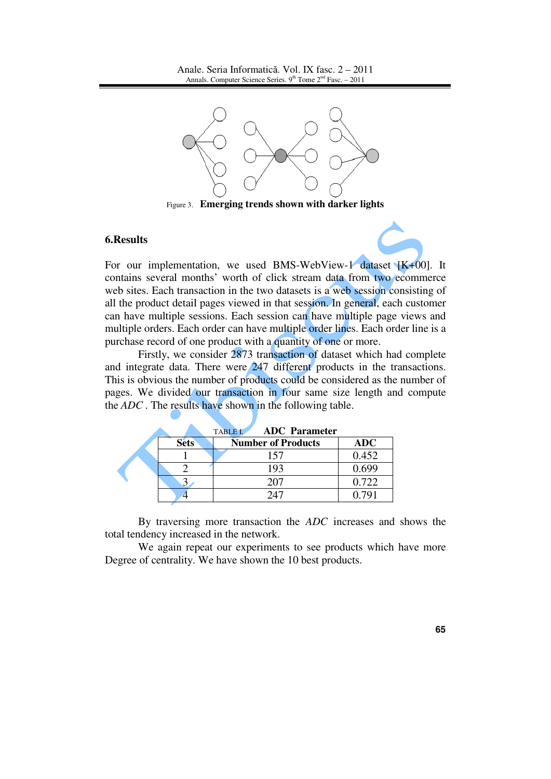

Figure 3. **Emerging trends shown with darker lights** 

## **6.Results**

For our implementation, we used BMS-WebView-1 dataset  $[K+00]$ . It contains several months' worth of click stream data from two ecommerce web sites. Each transaction in the two datasets is a web session consisting of all the product detail pages viewed in that session. In general, each customer can have multiple sessions. Each session can have multiple page views and multiple orders. Each order can have multiple order lines. Each order line is a purchase record of one product with a quantity of one or more.

Firstly, we consider 2873 transaction of dataset which had complete and integrate data. There were 247 different products in the transactions. This is obvious the number of products could be considered as the number of pages. We divided our transaction in four same size length and compute the *ADC* . The results have shown in the following table.

|  |             | <b>ADC</b> Parameter<br><b>TABLE I.</b> |            |
|--|-------------|-----------------------------------------|------------|
|  | <b>Sets</b> | <b>Number of Products</b>               | <b>ADC</b> |
|  |             | 157                                     | 0.452      |
|  |             | 193                                     | 0.699      |
|  |             |                                         | 0.722      |
|  |             |                                         |            |

By traversing more transaction the *ADC* increases and shows the total tendency increased in the network.

We again repeat our experiments to see products which have more Degree of centrality. We have shown the 10 best products.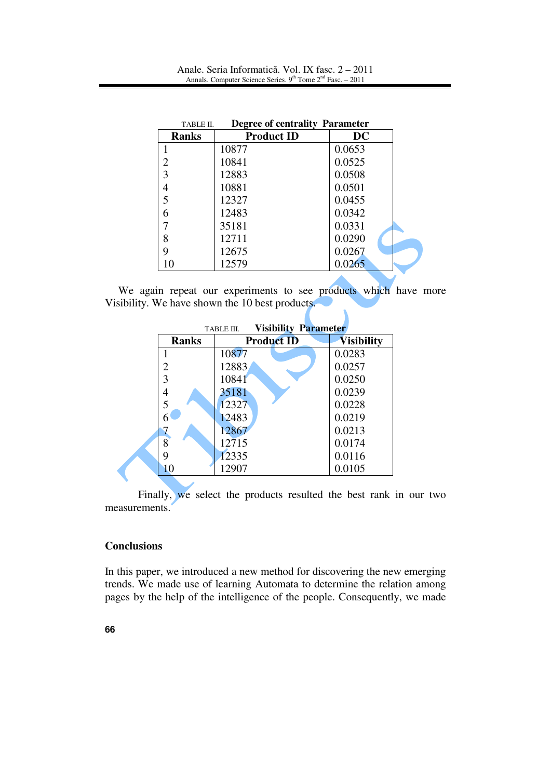| <b>Degree of centrality Parameter</b><br>TABLE II. |                   |        |  |  |
|----------------------------------------------------|-------------------|--------|--|--|
| <b>Ranks</b>                                       | <b>Product ID</b> | DC     |  |  |
|                                                    | 10877             | 0.0653 |  |  |
| 2                                                  | 10841             | 0.0525 |  |  |
| 3                                                  | 12883             | 0.0508 |  |  |
| 4                                                  | 10881             | 0.0501 |  |  |
| 5                                                  | 12327             | 0.0455 |  |  |
| 6                                                  | 12483             | 0.0342 |  |  |
|                                                    | 35181             | 0.0331 |  |  |
| 8                                                  | 12711             | 0.0290 |  |  |
| 9                                                  | 12675             | 0.0267 |  |  |
| 10                                                 | 12579             | 0.0265 |  |  |

We again repeat our experiments to see products which have more Visibility. We have shown the 10 best products.

 $\mathbf \Lambda$ 

| <b>Visibility Parameter</b><br>TABLE III. |                   |                   |  |  |
|-------------------------------------------|-------------------|-------------------|--|--|
| <b>Ranks</b>                              | <b>Product ID</b> | <b>Visibility</b> |  |  |
|                                           | 10877             | 0.0283            |  |  |
| 2                                         | 12883             | 0.0257            |  |  |
| 3                                         | 10841             | 0.0250            |  |  |
|                                           | 35181             | 0.0239            |  |  |
| 5                                         | 12327             | 0.0228            |  |  |
| 6                                         | 12483             | 0.0219            |  |  |
|                                           | 12867             | 0.0213            |  |  |
| 8                                         | 12715             | 0.0174            |  |  |
| 9                                         | 12335             | 0.0116            |  |  |
| 10                                        | 12907             | 0.0105            |  |  |

Finally, we select the products resulted the best rank in our two measurements.

# **Conclusions**

In this paper, we introduced a new method for discovering the new emerging trends. We made use of learning Automata to determine the relation among pages by the help of the intelligence of the people. Consequently, we made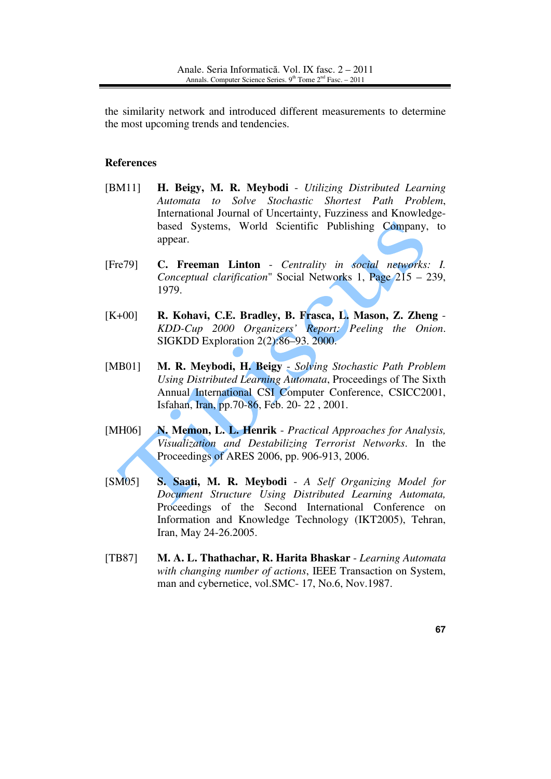the similarity network and introduced different measurements to determine the most upcoming trends and tendencies.

# **References**

- [BM11] **H. Beigy, M. R. Meybodi** *Utilizing Distributed Learning Automata to Solve Stochastic Shortest Path Problem*, International Journal of Uncertainty, Fuzziness and Knowledgebased Systems, World Scientific Publishing Company, to appear.
- [Fre79] **C. Freeman Linton** *Centrality in social networks: I. Conceptual clarification*" Social Networks 1, Page 215 – 239, 1979.
- [K+00] **R. Kohavi, C.E. Bradley, B. Frasca, L. Mason, Z. Zheng** *KDD-Cup 2000 Organizers' Report: Peeling the Onion*. SIGKDD Exploration 2(2):86–93. 2000.
- [MB01] **M. R. Meybodi, H. Beigy** *Solving Stochastic Path Problem Using Distributed Learning Automata*, Proceedings of The Sixth Annual International CSI Computer Conference, CSICC2001, Isfahan, Iran, pp.70-86, Feb. 20- 22 , 2001.
- [MH06] **N. Memon, L. L. Henrik** *Practical Approaches for Analysis, Visualization and Destabilizing Terrorist Networks*. In the Proceedings of ARES 2006, pp. 906-913, 2006.
- [SM05] **S. Saati, M. R. Meybodi** *A Self Organizing Model for Document Structure Using Distributed Learning Automata,*  Proceedings of the Second International Conference on Information and Knowledge Technology (IKT2005), Tehran, Iran, May 24-26.2005.
- [TB87] **M. A. L. Thathachar, R. Harita Bhaskar** *Learning Automata with changing number of actions*, IEEE Transaction on System, man and cybernetice, vol.SMC- 17, No.6, Nov.1987.